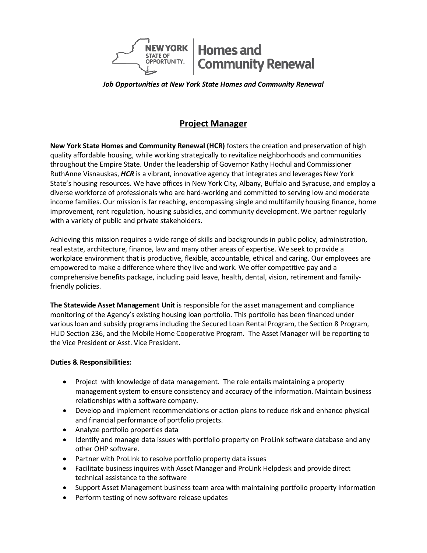

*Job Opportunities at New York State Homes and Community Renewal*

# **Project Manager**

**New York State Homes and Community Renewal (HCR)** fosters the creation and preservation of high quality affordable housing, while working strategically to revitalize neighborhoods and communities throughout the Empire State. Under the leadership of Governor Kathy Hochul and Commissioner RuthAnne Visnauskas, *HCR* is a vibrant, innovative agency that integrates and leverages New York State's housing resources. We have offices in New York City, Albany, Buffalo and Syracuse, and employ a diverse workforce of professionals who are hard-working and committed to serving low and moderate income families. Our mission is far reaching, encompassing single and multifamily housing finance, home improvement, rent regulation, housing subsidies, and community development. We partner regularly with a variety of public and private stakeholders.

Achieving this mission requires a wide range of skills and backgrounds in public policy, administration, real estate, architecture, finance, law and many other areas of expertise. We seek to provide a workplace environment that is productive, flexible, accountable, ethical and caring. Our employees are empowered to make a difference where they live and work. We offer competitive pay and a comprehensive benefits package, including paid leave, health, dental, vision, retirement and familyfriendly policies.

**The Statewide Asset Management Unit** is responsible for the asset management and compliance monitoring of the Agency's existing housing loan portfolio. This portfolio has been financed under various loan and subsidy programs including the Secured Loan Rental Program, the Section 8 Program, HUD Section 236, and the Mobile Home Cooperative Program. The Asset Manager will be reporting to the Vice President or Asst. Vice President.

### **Duties & Responsibilities:**

- Project with knowledge of data management. The role entails maintaining a property management system to ensure consistency and accuracy of the information. Maintain business relationships with a software company.
- Develop and implement recommendations or action plans to reduce risk and enhance physical and financial performance of portfolio projects.
- Analyze portfolio properties data
- Identify and manage data issues with portfolio property on ProLink software database and any other OHP software.
- Partner with ProLInk to resolve portfolio property data issues
- Facilitate business inquires with Asset Manager and ProLink Helpdesk and provide direct technical assistance to the software
- Support Asset Management business team area with maintaining portfolio property information
- Perform testing of new software release updates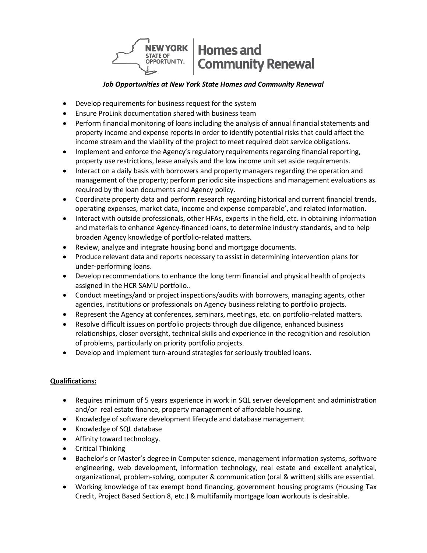

# *Job Opportunities at New York State Homes and Community Renewal*

- Develop requirements for business request for the system
- Ensure ProLink documentation shared with business team
- Perform financial monitoring of loans including the analysis of annual financial statements and property income and expense reports in order to identify potential risks that could affect the income stream and the viability of the project to meet required debt service obligations.
- Implement and enforce the Agency's regulatory requirements regarding financial reporting, property use restrictions, lease analysis and the low income unit set aside requirements.
- Interact on a daily basis with borrowers and property managers regarding the operation and management of the property; perform periodic site inspections and management evaluations as required by the loan documents and Agency policy.
- Coordinate property data and perform research regarding historical and current financial trends, operating expenses, market data, income and expense comparable', and related information.
- Interact with outside professionals, other HFAs, experts in the field, etc. in obtaining information and materials to enhance Agency-financed loans, to determine industry standards, and to help broaden Agency knowledge of portfolio-related matters.
- Review, analyze and integrate housing bond and mortgage documents.
- Produce relevant data and reports necessary to assist in determining intervention plans for under-performing loans.
- Develop recommendations to enhance the long term financial and physical health of projects assigned in the HCR SAMU portfolio..
- Conduct meetings/and or project inspections/audits with borrowers, managing agents, other agencies, institutions or professionals on Agency business relating to portfolio projects.
- Represent the Agency at conferences, seminars, meetings, etc. on portfolio-related matters.
- Resolve difficult issues on portfolio projects through due diligence, enhanced business relationships, closer oversight, technical skills and experience in the recognition and resolution of problems, particularly on priority portfolio projects.
- Develop and implement turn-around strategies for seriously troubled loans.

### **Qualifications:**

- Requires minimum of 5 years experience in work in SQL server development and administration and/or real estate finance, property management of affordable housing.
- Knowledge of software development lifecycle and database management
- Knowledge of SQL database
- Affinity toward technology.
- Critical Thinking
- Bachelor's or Master's degree in Computer science, management information systems, software engineering, web development, information technology, real estate and excellent analytical, organizational, problem-solving, computer & communication (oral & written) skills are essential.
- Working knowledge of tax exempt bond financing, government housing programs (Housing Tax Credit, Project Based Section 8, etc.) & multifamily mortgage loan workouts is desirable.